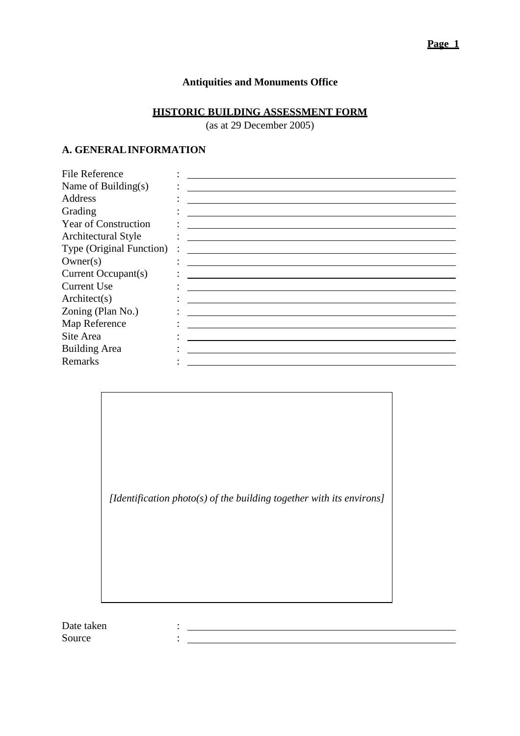# **Antiquities and Monuments Office**

## **HISTORIC BUILDING ASSESSMENT FORM**

(as at 29 December 2005)

## **A. GENERALINFORMATION**

| the contract of the contract of the contract of the contract of the contract of |
|---------------------------------------------------------------------------------|
|                                                                                 |
|                                                                                 |
|                                                                                 |
|                                                                                 |
|                                                                                 |
|                                                                                 |
|                                                                                 |
|                                                                                 |
| Type (Original Function)                                                        |

*[Identification photo(s) of the building together with its environs]* 

 $\frac{1}{2} \left( \frac{1}{2} \sum_{i=1}^n \frac{1}{2} \left( \frac{1}{2} \sum_{i=1}^n \frac{1}{2} \left( \frac{1}{2} \sum_{i=1}^n \frac{1}{2} \right) \right) \right) + \frac{1}{2} \left( \sum_{i=1}^n \frac{1}{2} \sum_{i=1}^n \frac{1}{2} \left( \frac{1}{2} \sum_{i=1}^n \frac{1}{2} \right) \right) + \frac{1}{2} \left( \sum_{i=1}^n \frac{1}{2} \sum_{i=1}^n \frac{1}{2} \right) + \frac{1$  $\mathbf{H} = \frac{1}{2} \left[ \begin{array}{cc} \mathbf{H} & \mathbf{H} \\ \mathbf{H} & \mathbf{H} \end{array} \right] \mathbf{H} = \left[ \begin{array}{cc} \mathbf{H} & \mathbf{H} \\ \mathbf{H} & \mathbf{H} \end{array} \right] \mathbf{H} = \left[ \begin{array}{cc} \mathbf{H} & \mathbf{H} \\ \mathbf{H} & \mathbf{H} \end{array} \right] \mathbf{H} = \left[ \begin{array}{cc} \mathbf{H} & \mathbf{H} \\ \mathbf{H} & \mathbf{H} \end{array} \right] \mathbf{H$ 

Date taken Source :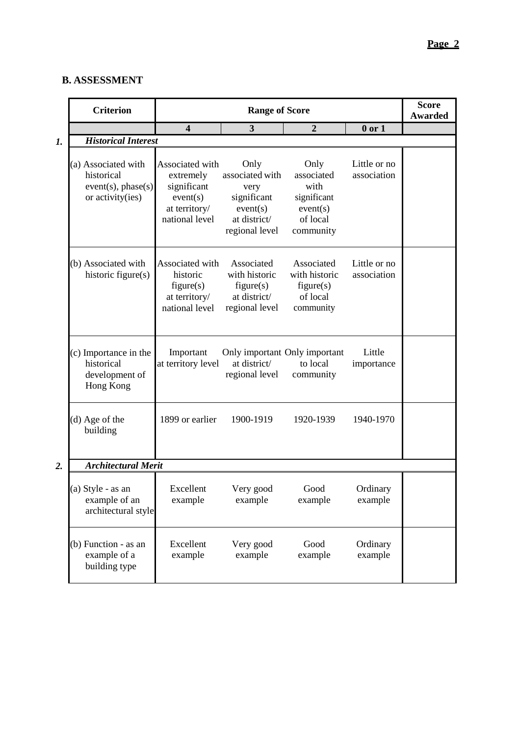## **B. ASSESSMENT**

|                  | <b>Criterion</b>                                                            |                                                                                            | <b>Score</b><br><b>Awarded</b>                                                               |                                                                                |                             |  |
|------------------|-----------------------------------------------------------------------------|--------------------------------------------------------------------------------------------|----------------------------------------------------------------------------------------------|--------------------------------------------------------------------------------|-----------------------------|--|
|                  |                                                                             | $\overline{\mathbf{4}}$                                                                    | $\overline{\mathbf{3}}$                                                                      | $\overline{2}$                                                                 | $0$ or $1$                  |  |
| 1.               | <b>Historical Interest</b>                                                  |                                                                                            |                                                                                              |                                                                                |                             |  |
|                  | (a) Associated with<br>historical<br>event(s), phase(s)<br>or activity(ies) | Associated with<br>extremely<br>significant<br>event(s)<br>at territory/<br>national level | Only<br>associated with<br>very<br>significant<br>event(s)<br>at district/<br>regional level | Only<br>associated<br>with<br>significant<br>event(s)<br>of local<br>community | Little or no<br>association |  |
|                  | (b) Associated with<br>historic figure(s)                                   | Associated with<br>historic<br>figure(s)<br>at territory/<br>national level                | Associated<br>with historic<br>figure(s)<br>at district/<br>regional level                   | Associated<br>with historic<br>figure(s)<br>of local<br>community              | Little or no<br>association |  |
|                  | (c) Importance in the<br>historical<br>development of<br>Hong Kong          | Important<br>at territory level                                                            | Only important Only important<br>at district/<br>regional level                              | to local<br>community                                                          | Little<br>importance        |  |
|                  | (d) Age of the<br>building                                                  | 1899 or earlier                                                                            | 1900-1919                                                                                    | 1920-1939                                                                      | 1940-1970                   |  |
| $\overline{2}$ . | <b>Architectural Merit</b>                                                  |                                                                                            |                                                                                              |                                                                                |                             |  |
|                  | (a) Style - as an<br>example of an<br>architectural style                   | Excellent<br>example                                                                       | Very good<br>example                                                                         | Good<br>example                                                                | Ordinary<br>example         |  |
|                  | (b) Function - as an<br>example of a<br>building type                       | Excellent<br>example                                                                       | Very good<br>example                                                                         | Good<br>example                                                                | Ordinary<br>example         |  |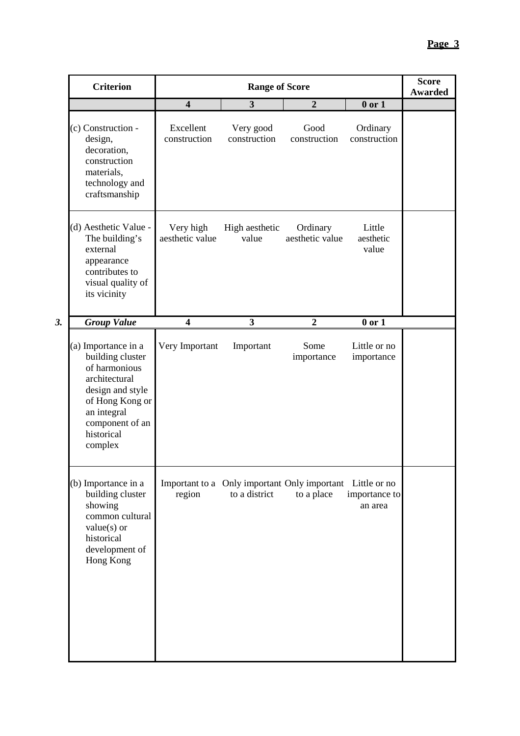|    | <b>Criterion</b>                                                                                                                                                            | <b>Range of Score</b>        |                           |                                                                         |                              | <b>Score</b><br><b>Awarded</b> |
|----|-----------------------------------------------------------------------------------------------------------------------------------------------------------------------------|------------------------------|---------------------------|-------------------------------------------------------------------------|------------------------------|--------------------------------|
|    |                                                                                                                                                                             | $\overline{\mathbf{4}}$      | $\mathbf{3}$              | $\boldsymbol{2}$                                                        | $0$ or $1$                   |                                |
|    | (c) Construction -<br>design,<br>decoration,<br>construction<br>materials,<br>technology and<br>craftsmanship                                                               | Excellent<br>construction    | Very good<br>construction | Good<br>construction                                                    | Ordinary<br>construction     |                                |
|    | (d) Aesthetic Value -<br>The building's<br>external<br>appearance<br>contributes to<br>visual quality of<br>its vicinity                                                    | Very high<br>aesthetic value | High aesthetic<br>value   | Ordinary<br>aesthetic value                                             | Little<br>aesthetic<br>value |                                |
| 3. | <b>Group Value</b>                                                                                                                                                          | $\overline{\mathbf{4}}$      | 3                         | $\overline{2}$                                                          | $0$ or $1$                   |                                |
|    | (a) Importance in a<br>building cluster<br>of harmonious<br>architectural<br>design and style<br>of Hong Kong or<br>an integral<br>component of an<br>historical<br>complex | Very Important               | Important                 | Some<br>importance                                                      | Little or no<br>importance   |                                |
|    | (b) Importance in a<br>building cluster<br>showing<br>common cultural<br>$value(s)$ or<br>historical<br>development of<br>Hong Kong                                         | region                       | to a district             | Important to a Only important Only important Little or no<br>to a place | importance to<br>an area     |                                |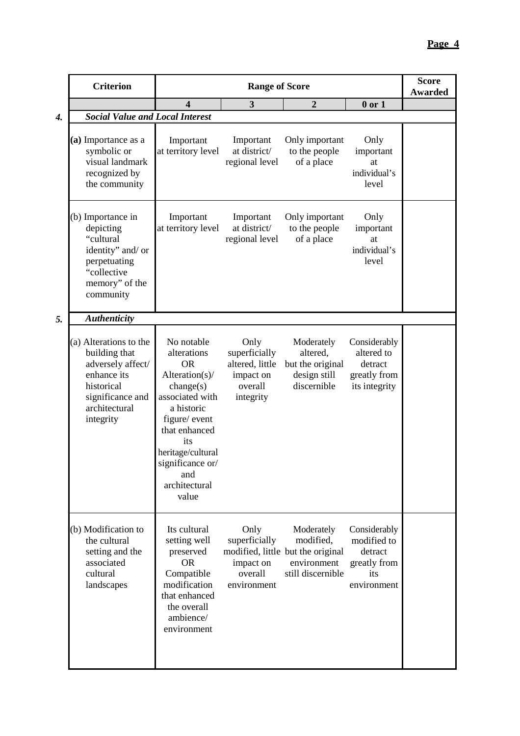|    | <b>Criterion</b>                                                                                                                            | <b>Range of Score</b>                                                                                                                                                                                                     |                                                                               |                                                                                                  |                                                                              | <b>Score</b><br><b>Awarded</b> |
|----|---------------------------------------------------------------------------------------------------------------------------------------------|---------------------------------------------------------------------------------------------------------------------------------------------------------------------------------------------------------------------------|-------------------------------------------------------------------------------|--------------------------------------------------------------------------------------------------|------------------------------------------------------------------------------|--------------------------------|
|    |                                                                                                                                             | 4                                                                                                                                                                                                                         | $\mathbf{3}$                                                                  | $\overline{2}$                                                                                   | $0$ or $1$                                                                   |                                |
| 4. | <b>Social Value and Local Interest</b>                                                                                                      |                                                                                                                                                                                                                           |                                                                               |                                                                                                  |                                                                              |                                |
|    | (a) Importance as a<br>symbolic or<br>visual landmark<br>recognized by<br>the community                                                     | Important<br>at territory level                                                                                                                                                                                           | Important<br>at district/<br>regional level                                   | Only important<br>to the people<br>of a place                                                    | Only<br>important<br>at<br>individual's<br>level                             |                                |
|    | (b) Importance in<br>depicting<br>"cultural<br>identity" and/ or<br>perpetuating<br>"collective<br>memory" of the<br>community              | Important<br>at territory level                                                                                                                                                                                           | Important<br>at district/<br>regional level                                   | Only important<br>to the people<br>of a place                                                    | Only<br>important<br>at<br>individual's<br>level                             |                                |
| 5. | <b>Authenticity</b>                                                                                                                         |                                                                                                                                                                                                                           |                                                                               |                                                                                                  |                                                                              |                                |
|    | (a) Alterations to the<br>building that<br>adversely affect/<br>enhance its<br>historical<br>significance and<br>architectural<br>integrity | No notable<br>alterations<br><b>OR</b><br>Alteration(s)/<br>change(s)<br>associated with<br>a historic<br>figure/ event<br>that enhanced<br>its<br>heritage/cultural<br>significance or/<br>and<br>architectural<br>value | Only<br>superficially<br>altered, little<br>impact on<br>overall<br>integrity | Moderately<br>altered,<br>but the original<br>design still<br>discernible                        | Considerably<br>altered to<br>detract<br>greatly from<br>its integrity       |                                |
|    | (b) Modification to<br>the cultural<br>setting and the<br>associated<br>cultural<br>landscapes                                              | Its cultural<br>setting well<br>preserved<br><b>OR</b><br>Compatible<br>modification<br>that enhanced<br>the overall<br>ambience/<br>environment                                                                          | Only<br>superficially<br>impact on<br>overall<br>environment                  | Moderately<br>modified,<br>modified, little but the original<br>environment<br>still discernible | Considerably<br>modified to<br>detract<br>greatly from<br>its<br>environment |                                |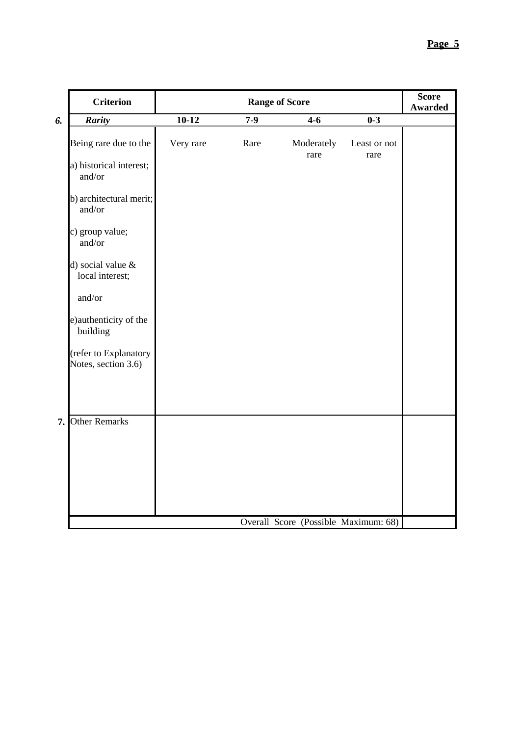|    | <b>Criterion</b>                             | <b>Range of Score</b> |       |                                      |                      | <b>Score</b><br><b>Awarded</b> |
|----|----------------------------------------------|-----------------------|-------|--------------------------------------|----------------------|--------------------------------|
| 6. | Rarity                                       | $10-12$               | $7-9$ | $\overline{4-6}$                     | $0 - 3$              |                                |
|    | Being rare due to the                        | Very rare             | Rare  | Moderately<br>rare                   | Least or not<br>rare |                                |
|    | a) historical interest;<br>and/or            |                       |       |                                      |                      |                                |
|    | b) architectural merit;<br>and/or            |                       |       |                                      |                      |                                |
|    | c) group value;<br>and/or                    |                       |       |                                      |                      |                                |
|    | d) social value $\&$<br>local interest;      |                       |       |                                      |                      |                                |
|    | and/or                                       |                       |       |                                      |                      |                                |
|    | e) authenticity of the<br>building           |                       |       |                                      |                      |                                |
|    | (refer to Explanatory<br>Notes, section 3.6) |                       |       |                                      |                      |                                |
|    |                                              |                       |       |                                      |                      |                                |
|    | 7. Other Remarks                             |                       |       |                                      |                      |                                |
|    |                                              |                       |       |                                      |                      |                                |
|    |                                              |                       |       |                                      |                      |                                |
|    |                                              |                       |       |                                      |                      |                                |
|    |                                              |                       |       |                                      |                      |                                |
|    |                                              |                       |       | Overall Score (Possible Maximum: 68) |                      |                                |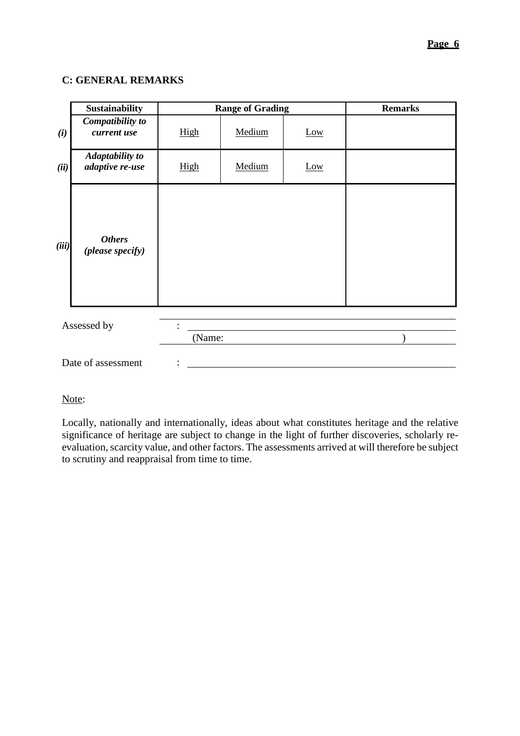#### **C: GENERAL REMARKS**

|       | <b>Sustainability</b>                     | <b>Range of Grading</b> |        | <b>Remarks</b> |  |
|-------|-------------------------------------------|-------------------------|--------|----------------|--|
| (i)   | Compatibility to<br>current use           | High                    | Medium | Low            |  |
| (ii)  | <b>Adaptability to</b><br>adaptive re-use | High                    | Medium | Low            |  |
| (iii) | <b>Others</b><br>(please specify)         |                         |        |                |  |
|       | Assessed by                               | (Name:                  |        |                |  |
|       | Date of assessment                        |                         |        |                |  |

# Note:

Locally, nationally and internationally, ideas about what constitutes heritage and the relative significance of heritage are subject to change in the light of further discoveries, scholarly reevaluation, scarcity value, and other factors. The assessments arrived at will therefore be subject to scrutiny and reappraisal from time to time.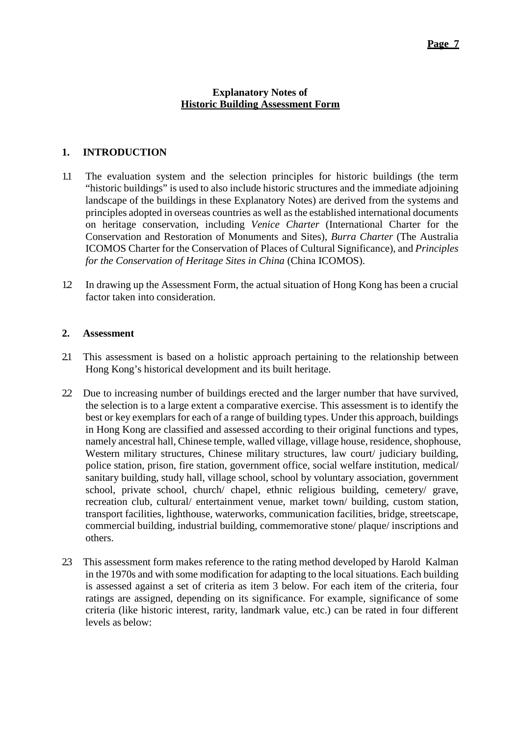## **Explanatory Notes of Historic Building Assessment Form**

# **1. INTRODUCTION**

- 1.1 The evaluation system and the selection principles for historic buildings (the term "historic buildings" is used to also include historic structures and the immediate adjoining landscape of the buildings in these Explanatory Notes) are derived from the systems and principles adopted in overseas countries as well as the established international documents on heritage conservation, including *Venice Charter* (International Charter for the Conservation and Restoration of Monuments and Sites), *Burra Charter* (The Australia ICOMOS Charter for the Conservation of Places of Cultural Significance), and *Principles for the Conservation of Heritage Sites in China* (China ICOMOS).
- 1.2 In drawing up the Assessment Form, the actual situation of Hong Kong has been a crucial factor taken into consideration.

## **2. Assessment**

- 2.1 This assessment is based on a holistic approach pertaining to the relationship between Hong Kong's historical development and its built heritage.
- 2.2 Due to increasing number of buildings erected and the larger number that have survived, the selection is to a large extent a comparative exercise. This assessment is to identify the best or key exemplars for each of a range of building types. Under this approach, buildings in Hong Kong are classified and assessed according to their original functions and types, namely ancestral hall, Chinese temple, walled village, village house, residence, shophouse, Western military structures, Chinese military structures, law court/ judiciary building, police station, prison, fire station, government office, social welfare institution, medical/ sanitary building, study hall, village school, school by voluntary association, government school, private school, church/ chapel, ethnic religious building, cemetery/ grave, recreation club, cultural/ entertainment venue, market town/ building, custom station, transport facilities, lighthouse, waterworks, communication facilities, bridge, streetscape, commercial building, industrial building, commemorative stone/ plaque/ inscriptions and others.
- 2.3 This assessment form makes reference to the rating method developed by Harold Kalman in the 1970s and with some modification for adapting to the local situations. Each building is assessed against a set of criteria as item 3 below. For each item of the criteria, four ratings are assigned, depending on its significance. For example, significance of some criteria (like historic interest, rarity, landmark value, etc.) can be rated in four different levels as below: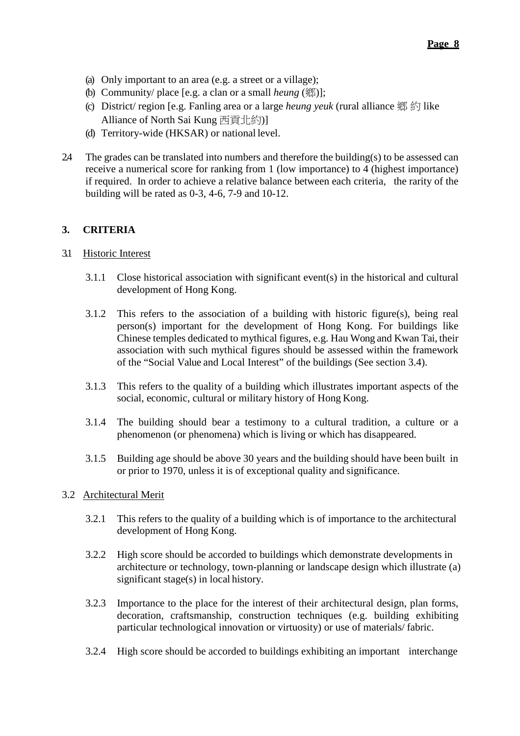- (a) Only important to an area (e.g. a street or a village);
- (b) Community/ place [e.g. a clan or a small *heung* (鄉)];
- (c) District/ region [e.g. Fanling area or a large *heung yeuk* (rural alliance 鄉 約 like Alliance of North Sai Kung 西貢北約)]
- (d) Territory-wide (HKSAR) or national level.
- 2.4 The grades can be translated into numbers and therefore the building(s) to be assessed can receive a numerical score for ranking from 1 (low importance) to 4 (highest importance) if required. In order to achieve a relative balance between each criteria, the rarity of the building will be rated as 0-3, 4-6, 7-9 and 10-12.

## **3. CRITERIA**

## 3.1 Historic Interest

- 3.1.1 Close historical association with significant event(s) in the historical and cultural development of Hong Kong.
- 3.1.2 This refers to the association of a building with historic figure(s), being real person(s) important for the development of Hong Kong. For buildings like Chinese temples dedicated to mythical figures, e.g. Hau Wong and Kwan Tai, their association with such mythical figures should be assessed within the framework of the "Social Value and Local Interest" of the buildings (See section 3.4).
- 3.1.3 This refers to the quality of a building which illustrates important aspects of the social, economic, cultural or military history of Hong Kong.
- 3.1.4 The building should bear a testimony to a cultural tradition, a culture or a phenomenon (or phenomena) which is living or which has disappeared.
- 3.1.5 Building age should be above 30 years and the building should have been built in or prior to 1970, unless it is of exceptional quality and significance.

## 3.2 Architectural Merit

- 3.2.1 This refers to the quality of a building which is of importance to the architectural development of Hong Kong.
- 3.2.2 High score should be accorded to buildings which demonstrate developments in architecture or technology, town-planning or landscape design which illustrate (a) significant stage(s) in local history.
- 3.2.3 Importance to the place for the interest of their architectural design, plan forms, decoration, craftsmanship, construction techniques (e.g. building exhibiting particular technological innovation or virtuosity) or use of materials/ fabric.
- 3.2.4 High score should be accorded to buildings exhibiting an important interchange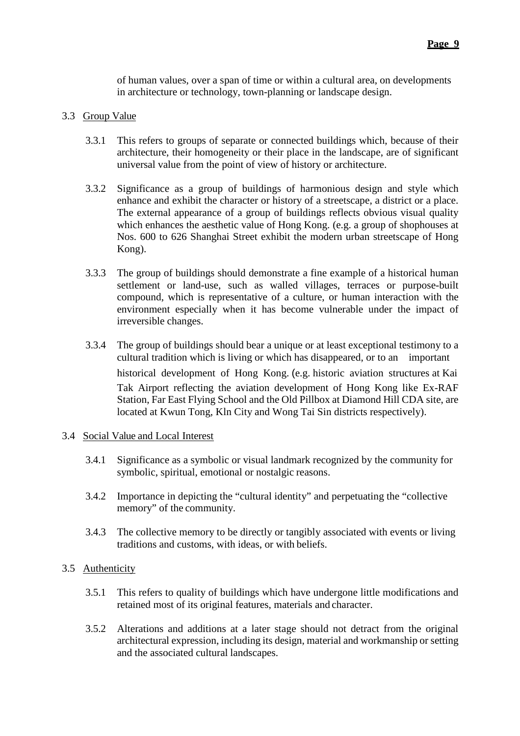of human values, over a span of time or within a cultural area, on developments in architecture or technology, town-planning or landscape design.

## 3.3 Group Value

- 3.3.1 This refers to groups of separate or connected buildings which, because of their architecture, their homogeneity or their place in the landscape, are of significant universal value from the point of view of history or architecture.
- 3.3.2 Significance as a group of buildings of harmonious design and style which enhance and exhibit the character or history of a streetscape, a district or a place. The external appearance of a group of buildings reflects obvious visual quality which enhances the aesthetic value of Hong Kong. (e.g. a group of shophouses at Nos. 600 to 626 Shanghai Street exhibit the modern urban streetscape of Hong Kong).
- 3.3.3 The group of buildings should demonstrate a fine example of a historical human settlement or land-use, such as walled villages, terraces or purpose-built compound, which is representative of a culture, or human interaction with the environment especially when it has become vulnerable under the impact of irreversible changes.
- 3.3.4 The group of buildings should bear a unique or at least exceptional testimony to a cultural tradition which is living or which has disappeared, or to an important historical development of Hong Kong. (e.g. historic aviation structures at Kai Tak Airport reflecting the aviation development of Hong Kong like Ex-RAF Station, Far East Flying School and the Old Pillbox at Diamond Hill CDA site, are located at Kwun Tong, Kln City and Wong Tai Sin districts respectively).

## 3.4 Social Value and Local Interest

- 3.4.1 Significance as a symbolic or visual landmark recognized by the community for symbolic, spiritual, emotional or nostalgic reasons.
- 3.4.2 Importance in depicting the "cultural identity" and perpetuating the "collective memory" of the community.
- 3.4.3 The collective memory to be directly or tangibly associated with events or living traditions and customs, with ideas, or with beliefs.

## 3.5 Authenticity

- 3.5.1 This refers to quality of buildings which have undergone little modifications and retained most of its original features, materials and character.
- 3.5.2 Alterations and additions at a later stage should not detract from the original architectural expression, including its design, material and workmanship or setting and the associated cultural landscapes.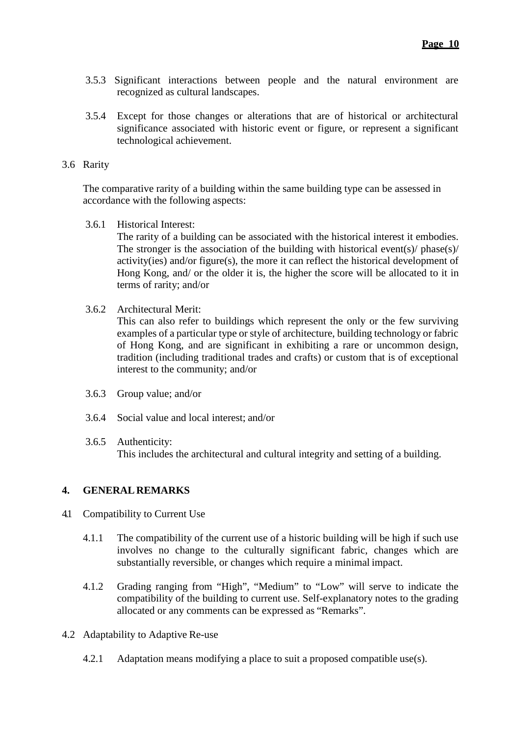- 3.5.3 Significant interactions between people and the natural environment are recognized as cultural landscapes.
- 3.5.4 Except for those changes or alterations that are of historical or architectural significance associated with historic event or figure, or represent a significant technological achievement.

#### 3.6 Rarity

The comparative rarity of a building within the same building type can be assessed in accordance with the following aspects:

3.6.1 Historical Interest:

The rarity of a building can be associated with the historical interest it embodies. The stronger is the association of the building with historical events)/ phase(s)/ activity(ies) and/or figure(s), the more it can reflect the historical development of Hong Kong, and/ or the older it is, the higher the score will be allocated to it in terms of rarity; and/or

3.6.2 Architectural Merit:

This can also refer to buildings which represent the only or the few surviving examples of a particular type or style of architecture, building technology or fabric of Hong Kong, and are significant in exhibiting a rare or uncommon design, tradition (including traditional trades and crafts) or custom that is of exceptional interest to the community; and/or

- 3.6.3 Group value; and/or
- 3.6.4 Social value and local interest; and/or
- 3.6.5 Authenticity: This includes the architectural and cultural integrity and setting of a building.

## **4. GENERAL REMARKS**

- 4.1 Compatibility to Current Use
	- 4.1.1 The compatibility of the current use of a historic building will be high if such use involves no change to the culturally significant fabric, changes which are substantially reversible, or changes which require a minimal impact.
	- 4.1.2 Grading ranging from "High", "Medium" to "Low" will serve to indicate the compatibility of the building to current use. Self-explanatory notes to the grading allocated or any comments can be expressed as "Remarks".
- 4.2 Adaptability to Adaptive Re-use
	- 4.2.1 Adaptation means modifying a place to suit a proposed compatible use(s).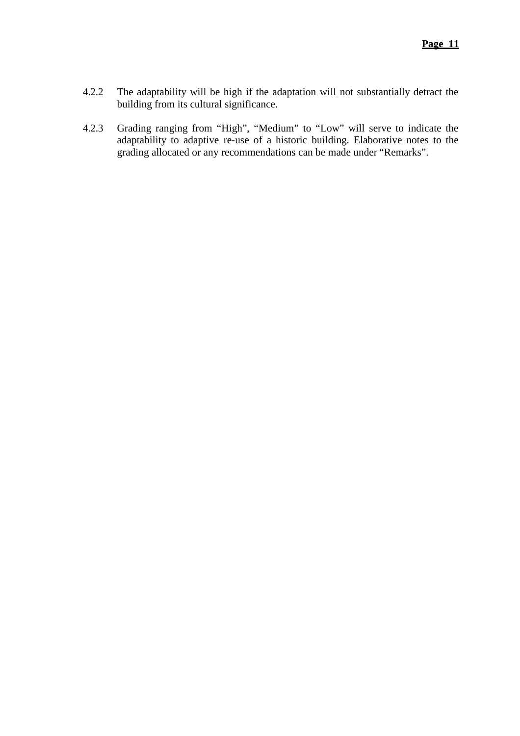- 4.2.2 The adaptability will be high if the adaptation will not substantially detract the building from its cultural significance.
- 4.2.3 Grading ranging from "High", "Medium" to "Low" will serve to indicate the adaptability to adaptive re-use of a historic building. Elaborative notes to the grading allocated or any recommendations can be made under "Remarks".